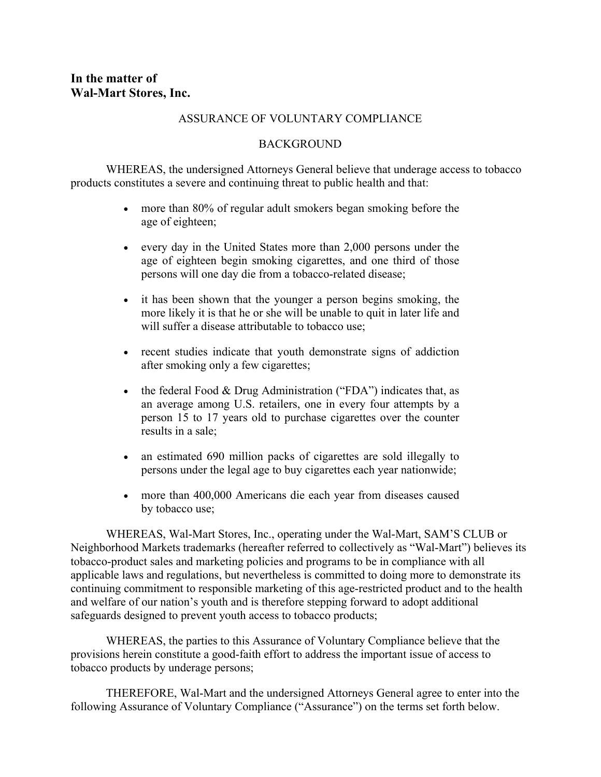## **In the matter of Wal-Mart Stores, Inc.**

## ASSURANCE OF VOLUNTARY COMPLIANCE

## BACKGROUND

WHEREAS, the undersigned Attorneys General believe that underage access to tobacco products constitutes a severe and continuing threat to public health and that:

- more than 80% of regular adult smokers began smoking before the age of eighteen; •
- every day in the United States more than 2,000 persons under the age of eighteen begin smoking cigarettes, and one third of those persons will one day die from a tobacco-related disease;
- it has been shown that the younger a person begins smoking, the more likely it is that he or she will be unable to quit in later life and will suffer a disease attributable to tobacco use:
- recent studies indicate that youth demonstrate signs of addiction after smoking only a few cigarettes;
- the federal Food  $& Drug$  Administration ("FDA") indicates that, as an average among U.S. retailers, one in every four attempts by a person 15 to 17 years old to purchase cigarettes over the counter results in a sale;
- an estimated 690 million packs of cigarettes are sold illegally to persons under the legal age to buy cigarettes each year nationwide;
- more than 400,000 Americans die each year from diseases caused by tobacco use;

WHEREAS, Wal-Mart Stores, Inc., operating under the Wal-Mart, SAM'S CLUB or Neighborhood Markets trademarks (hereafter referred to collectively as "Wal-Mart") believes its tobacco-product sales and marketing policies and programs to be in compliance with all applicable laws and regulations, but nevertheless is committed to doing more to demonstrate its continuing commitment to responsible marketing of this age-restricted product and to the health and welfare of our nation's youth and is therefore stepping forward to adopt additional safeguards designed to prevent youth access to tobacco products;

WHEREAS, the parties to this Assurance of Voluntary Compliance believe that the provisions herein constitute a good-faith effort to address the important issue of access to tobacco products by underage persons;

THEREFORE, Wal-Mart and the undersigned Attorneys General agree to enter into the following Assurance of Voluntary Compliance ("Assurance") on the terms set forth below.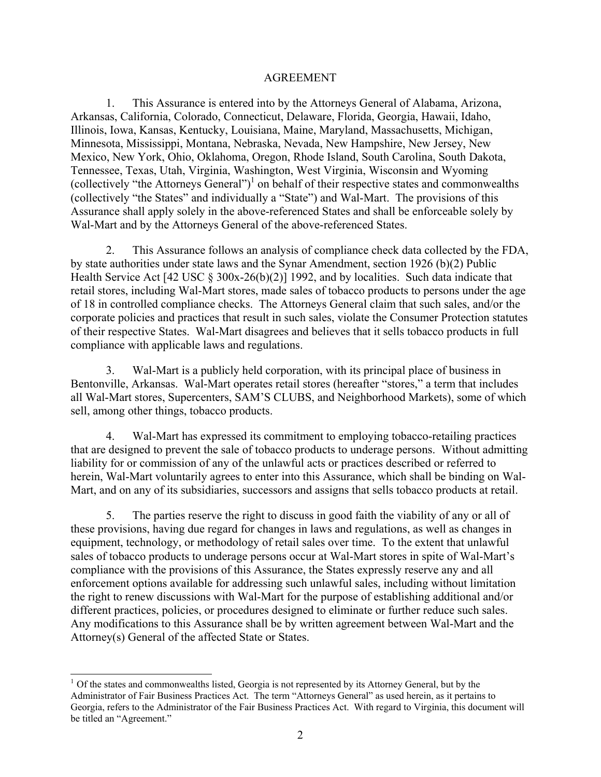## AGREEMENT

1. This Assurance is entered into by the Attorneys General of Alabama, Arizona, Arkansas, California, Colorado, Connecticut, Delaware, Florida, Georgia, Hawaii, Idaho, Illinois, Iowa, Kansas, Kentucky, Louisiana, Maine, Maryland, Massachusetts, Michigan, Minnesota, Mississippi, Montana, Nebraska, Nevada, New Hampshire, New Jersey, New Mexico, New York, Ohio, Oklahoma, Oregon, Rhode Island, South Carolina, South Dakota, Tennessee, Texas, Utah, Virginia, Washington, West Virginia, Wisconsin and Wyoming (collectively "the Attorneys General")<sup>[1](#page-1-0)</sup> on behalf of their respective states and commonwealths (collectively "the States" and individually a "State") and Wal-Mart. The provisions of this Assurance shall apply solely in the above-referenced States and shall be enforceable solely by Wal-Mart and by the Attorneys General of the above-referenced States.

2. This Assurance follows an analysis of compliance check data collected by the FDA, by state authorities under state laws and the Synar Amendment, section 1926 (b)(2) Public Health Service Act [42 USC § 300x-26(b)(2)] 1992, and by localities. Such data indicate that retail stores, including Wal-Mart stores, made sales of tobacco products to persons under the age of 18 in controlled compliance checks. The Attorneys General claim that such sales, and/or the corporate policies and practices that result in such sales, violate the Consumer Protection statutes of their respective States. Wal-Mart disagrees and believes that it sells tobacco products in full compliance with applicable laws and regulations.

3. Wal-Mart is a publicly held corporation, with its principal place of business in Bentonville, Arkansas. Wal-Mart operates retail stores (hereafter "stores," a term that includes all Wal-Mart stores, Supercenters, SAM'S CLUBS, and Neighborhood Markets), some of which sell, among other things, tobacco products.

4. Wal-Mart has expressed its commitment to employing tobacco-retailing practices that are designed to prevent the sale of tobacco products to underage persons. Without admitting liability for or commission of any of the unlawful acts or practices described or referred to herein, Wal-Mart voluntarily agrees to enter into this Assurance, which shall be binding on Wal-Mart, and on any of its subsidiaries, successors and assigns that sells tobacco products at retail.

5. The parties reserve the right to discuss in good faith the viability of any or all of these provisions, having due regard for changes in laws and regulations, as well as changes in equipment, technology, or methodology of retail sales over time. To the extent that unlawful sales of tobacco products to underage persons occur at Wal-Mart stores in spite of Wal-Mart's compliance with the provisions of this Assurance, the States expressly reserve any and all enforcement options available for addressing such unlawful sales, including without limitation the right to renew discussions with Wal-Mart for the purpose of establishing additional and/or different practices, policies, or procedures designed to eliminate or further reduce such sales. Any modifications to this Assurance shall be by written agreement between Wal-Mart and the Attorney(s) General of the affected State or States.

<span id="page-1-0"></span> $1$  Of the states and commonwealths listed, Georgia is not represented by its Attorney General, but by the Administrator of Fair Business Practices Act. The term "Attorneys General" as used herein, as it pertains to Georgia, refers to the Administrator of the Fair Business Practices Act. With regard to Virginia, this document will be titled an "Agreement."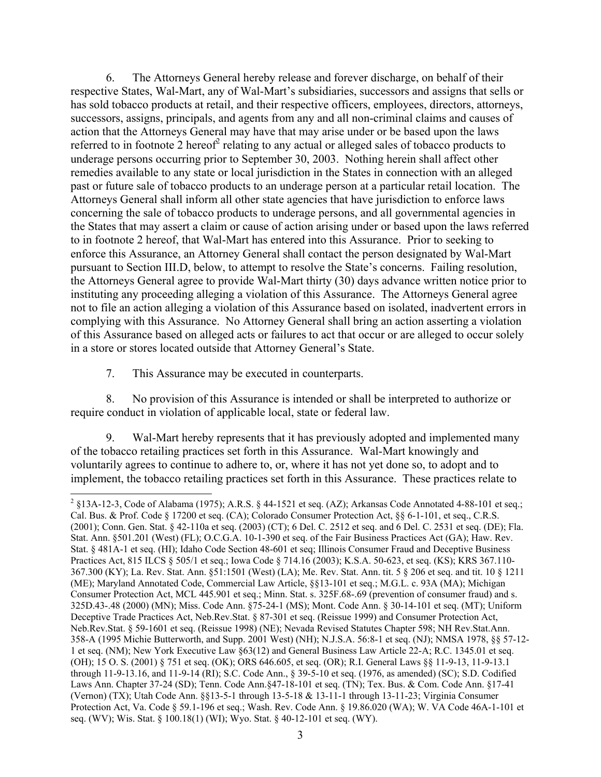6. The Attorneys General hereby release and forever discharge, on behalf of their respective States, Wal-Mart, any of Wal-Mart's subsidiaries, successors and assigns that sells or has sold tobacco products at retail, and their respective officers, employees, directors, attorneys, successors, assigns, principals, and agents from any and all non-criminal claims and causes of action that the Attorneys General may have that may arise under or be based upon the laws referred to in footnote  $2$  hereof $2$  relating to any actual or alleged sales of tobacco products to underage persons occurring prior to September 30, 2003. Nothing herein shall affect other remedies available to any state or local jurisdiction in the States in connection with an alleged past or future sale of tobacco products to an underage person at a particular retail location. The Attorneys General shall inform all other state agencies that have jurisdiction to enforce laws concerning the sale of tobacco products to underage persons, and all governmental agencies in the States that may assert a claim or cause of action arising under or based upon the laws referred to in footnote 2 hereof, that Wal-Mart has entered into this Assurance. Prior to seeking to enforce this Assurance, an Attorney General shall contact the person designated by Wal-Mart pursuant to Section III.D, below, to attempt to resolve the State's concerns. Failing resolution, the Attorneys General agree to provide Wal-Mart thirty (30) days advance written notice prior to instituting any proceeding alleging a violation of this Assurance. The Attorneys General agree not to file an action alleging a violation of this Assurance based on isolated, inadvertent errors in complying with this Assurance. No Attorney General shall bring an action asserting a violation of this Assurance based on alleged acts or failures to act that occur or are alleged to occur solely in a store or stores located outside that Attorney General's State.

7. This Assurance may be executed in counterparts.

8. No provision of this Assurance is intended or shall be interpreted to authorize or require conduct in violation of applicable local, state or federal law.

9. Wal-Mart hereby represents that it has previously adopted and implemented many of the tobacco retailing practices set forth in this Assurance. Wal-Mart knowingly and voluntarily agrees to continue to adhere to, or, where it has not yet done so, to adopt and to implement, the tobacco retailing practices set forth in this Assurance. These practices relate to

<span id="page-2-0"></span> $\frac{1}{2}$  §13A-12-3, Code of Alabama (1975); A.R.S. § 44-1521 et seq. (AZ); Arkansas Code Annotated 4-88-101 et seq.; Cal. Bus. & Prof. Code § 17200 et seq. (CA); Colorado Consumer Protection Act, §§ 6-1-101, et seq., C.R.S. (2001); Conn. Gen. Stat. § 42-110a et seq. (2003) (CT); 6 Del. C. 2512 et seq. and 6 Del. C. 2531 et seq. (DE); Fla. Stat. Ann. §501.201 (West) (FL); O.C.G.A. 10-1-390 et seq. of the Fair Business Practices Act (GA); Haw. Rev. Stat. § 481A-1 et seq. (HI); Idaho Code Section 48-601 et seq; Illinois Consumer Fraud and Deceptive Business Practices Act, 815 ILCS § 505/1 et seq.; Iowa Code § 714.16 (2003); K.S.A. 50-623, et seq. (KS); KRS 367.110- 367.300 (KY); La. Rev. Stat. Ann. §51:1501 (West) (LA); Me. Rev. Stat. Ann. tit. 5 § 206 et seq. and tit. 10 § 1211 (ME); Maryland Annotated Code, Commercial Law Article, §§13-101 et seq.; M.G.L. c. 93A (MA); Michigan Consumer Protection Act, MCL 445.901 et seq.; Minn. Stat. s. 325F.68-.69 (prevention of consumer fraud) and s. 325D.43-.48 (2000) (MN); Miss. Code Ann. §75-24-1 (MS); Mont. Code Ann. § 30-14-101 et seq. (MT); Uniform Deceptive Trade Practices Act, Neb.Rev.Stat. § 87-301 et seq. (Reissue 1999) and Consumer Protection Act, Neb.Rev.Stat. § 59-1601 et seq. (Reissue 1998) (NE); Nevada Revised Statutes Chapter 598; NH Rev.Stat.Ann. 358-A (1995 Michie Butterworth, and Supp. 2001 West) (NH); N.J.S.A. 56:8-1 et seq. (NJ); NMSA 1978, §§ 57-12- 1 et seq. (NM); New York Executive Law §63(12) and General Business Law Article 22-A; R.C. 1345.01 et seq. (OH); 15 O. S. (2001) § 751 et seq. (OK); ORS 646.605, et seq. (OR); R.I. General Laws §§ 11-9-13, 11-9-13.1 through 11-9-13.16, and 11-9-14 (RI); S.C. Code Ann., § 39-5-10 et seq. (1976, as amended) (SC); S.D. Codified Laws Ann. Chapter 37-24 (SD); Tenn. Code Ann.§47-18-101 et seq. (TN); Tex. Bus. & Com. Code Ann. §17-41 (Vernon) (TX); Utah Code Ann. §§13-5-1 through 13-5-18 & 13-11-1 through 13-11-23; Virginia Consumer Protection Act, Va. Code § 59.1-196 et seq.; Wash. Rev. Code Ann. § 19.86.020 (WA); W. VA Code 46A-1-101 et seq. (WV); Wis. Stat. § 100.18(1) (WI); Wyo. Stat. § 40-12-101 et seq. (WY).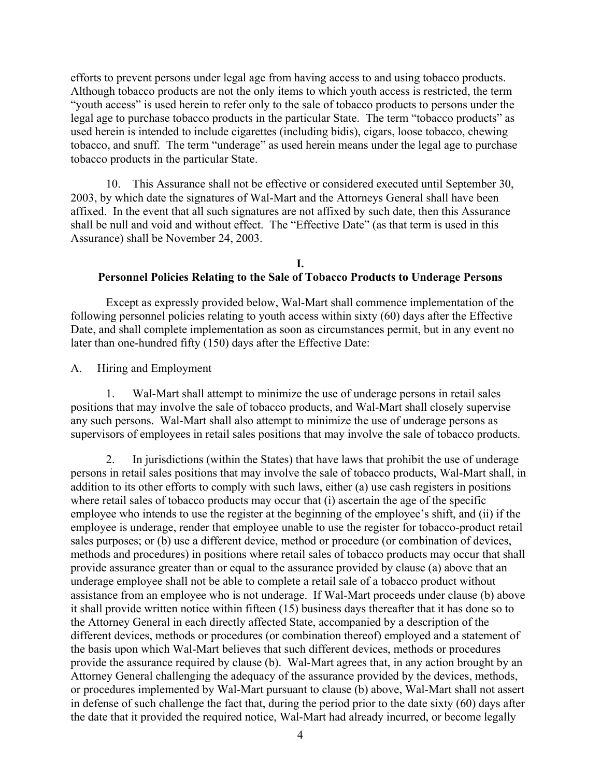efforts to prevent persons under legal age from having access to and using tobacco products. Although tobacco products are not the only items to which youth access is restricted, the term "youth access" is used herein to refer only to the sale of tobacco products to persons under the legal age to purchase tobacco products in the particular State. The term "tobacco products" as used herein is intended to include cigarettes (including bidis), cigars, loose tobacco, chewing tobacco, and snuff. The term "underage" as used herein means under the legal age to purchase tobacco products in the particular State.

10. This Assurance shall not be effective or considered executed until September 30, 2003, by which date the signatures of Wal-Mart and the Attorneys General shall have been affixed. In the event that all such signatures are not affixed by such date, then this Assurance shall be null and void and without effect. The "Effective Date" (as that term is used in this Assurance) shall be November 24, 2003.

#### **I. Personnel Policies Relating to the Sale of Tobacco Products to Underage Persons**

Except as expressly provided below, Wal-Mart shall commence implementation of the following personnel policies relating to youth access within sixty (60) days after the Effective Date, and shall complete implementation as soon as circumstances permit, but in any event no later than one-hundred fifty (150) days after the Effective Date:

A. Hiring and Employment

1. Wal-Mart shall attempt to minimize the use of underage persons in retail sales positions that may involve the sale of tobacco products, and Wal-Mart shall closely supervise any such persons. Wal-Mart shall also attempt to minimize the use of underage persons as supervisors of employees in retail sales positions that may involve the sale of tobacco products.

2. In jurisdictions (within the States) that have laws that prohibit the use of underage persons in retail sales positions that may involve the sale of tobacco products, Wal-Mart shall, in addition to its other efforts to comply with such laws, either (a) use cash registers in positions where retail sales of tobacco products may occur that (i) ascertain the age of the specific employee who intends to use the register at the beginning of the employee's shift, and (ii) if the employee is underage, render that employee unable to use the register for tobacco-product retail sales purposes; or (b) use a different device, method or procedure (or combination of devices, methods and procedures) in positions where retail sales of tobacco products may occur that shall provide assurance greater than or equal to the assurance provided by clause (a) above that an underage employee shall not be able to complete a retail sale of a tobacco product without assistance from an employee who is not underage. If Wal-Mart proceeds under clause (b) above it shall provide written notice within fifteen (15) business days thereafter that it has done so to the Attorney General in each directly affected State, accompanied by a description of the different devices, methods or procedures (or combination thereof) employed and a statement of the basis upon which Wal-Mart believes that such different devices, methods or procedures provide the assurance required by clause (b). Wal-Mart agrees that, in any action brought by an Attorney General challenging the adequacy of the assurance provided by the devices, methods, or procedures implemented by Wal-Mart pursuant to clause (b) above, Wal-Mart shall not assert in defense of such challenge the fact that, during the period prior to the date sixty (60) days after the date that it provided the required notice, Wal-Mart had already incurred, or become legally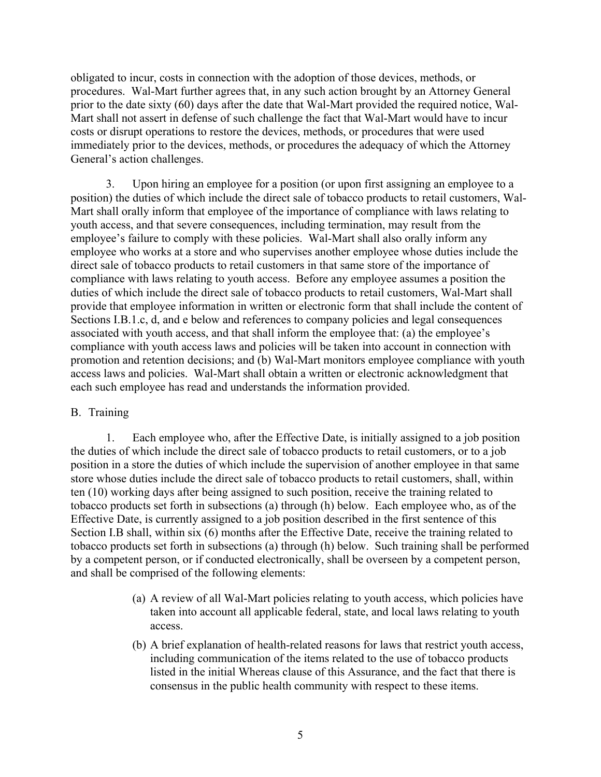obligated to incur, costs in connection with the adoption of those devices, methods, or procedures. Wal-Mart further agrees that, in any such action brought by an Attorney General prior to the date sixty (60) days after the date that Wal-Mart provided the required notice, Wal-Mart shall not assert in defense of such challenge the fact that Wal-Mart would have to incur costs or disrupt operations to restore the devices, methods, or procedures that were used immediately prior to the devices, methods, or procedures the adequacy of which the Attorney General's action challenges.

3. Upon hiring an employee for a position (or upon first assigning an employee to a position) the duties of which include the direct sale of tobacco products to retail customers, Wal-Mart shall orally inform that employee of the importance of compliance with laws relating to youth access, and that severe consequences, including termination, may result from the employee's failure to comply with these policies. Wal-Mart shall also orally inform any employee who works at a store and who supervises another employee whose duties include the direct sale of tobacco products to retail customers in that same store of the importance of compliance with laws relating to youth access. Before any employee assumes a position the duties of which include the direct sale of tobacco products to retail customers, Wal-Mart shall provide that employee information in written or electronic form that shall include the content of Sections I.B.1.c, d, and e below and references to company policies and legal consequences associated with youth access, and that shall inform the employee that: (a) the employee's compliance with youth access laws and policies will be taken into account in connection with promotion and retention decisions; and (b) Wal-Mart monitors employee compliance with youth access laws and policies. Wal-Mart shall obtain a written or electronic acknowledgment that each such employee has read and understands the information provided.

#### B. Training

1. Each employee who, after the Effective Date, is initially assigned to a job position the duties of which include the direct sale of tobacco products to retail customers, or to a job position in a store the duties of which include the supervision of another employee in that same store whose duties include the direct sale of tobacco products to retail customers, shall, within ten (10) working days after being assigned to such position, receive the training related to tobacco products set forth in subsections (a) through (h) below. Each employee who, as of the Effective Date, is currently assigned to a job position described in the first sentence of this Section I.B shall, within six (6) months after the Effective Date, receive the training related to tobacco products set forth in subsections (a) through (h) below. Such training shall be performed by a competent person, or if conducted electronically, shall be overseen by a competent person, and shall be comprised of the following elements:

- (a) A review of all Wal-Mart policies relating to youth access, which policies have taken into account all applicable federal, state, and local laws relating to youth access.
- (b) A brief explanation of health-related reasons for laws that restrict youth access, including communication of the items related to the use of tobacco products listed in the initial Whereas clause of this Assurance, and the fact that there is consensus in the public health community with respect to these items.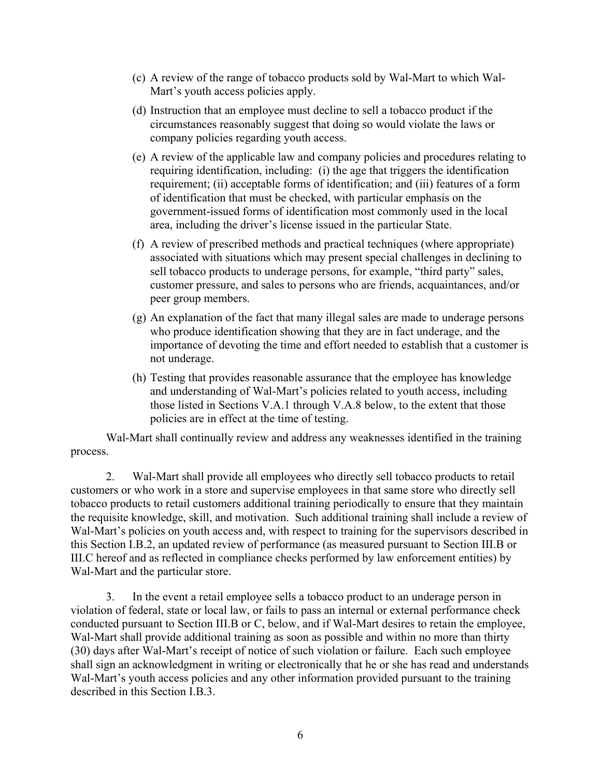- (c) A review of the range of tobacco products sold by Wal-Mart to which Wal-Mart's youth access policies apply.
- (d) Instruction that an employee must decline to sell a tobacco product if the circumstances reasonably suggest that doing so would violate the laws or company policies regarding youth access.
- (e) A review of the applicable law and company policies and procedures relating to requiring identification, including: (i) the age that triggers the identification requirement; (ii) acceptable forms of identification; and (iii) features of a form of identification that must be checked, with particular emphasis on the government-issued forms of identification most commonly used in the local area, including the driver's license issued in the particular State.
- (f) A review of prescribed methods and practical techniques (where appropriate) associated with situations which may present special challenges in declining to sell tobacco products to underage persons, for example, "third party" sales, customer pressure, and sales to persons who are friends, acquaintances, and/or peer group members.
- (g) An explanation of the fact that many illegal sales are made to underage persons who produce identification showing that they are in fact underage, and the importance of devoting the time and effort needed to establish that a customer is not underage.
- (h) Testing that provides reasonable assurance that the employee has knowledge and understanding of Wal-Mart's policies related to youth access, including those listed in Sections V.A.1 through V.A.8 below, to the extent that those policies are in effect at the time of testing.

Wal-Mart shall continually review and address any weaknesses identified in the training process.

2. Wal-Mart shall provide all employees who directly sell tobacco products to retail customers or who work in a store and supervise employees in that same store who directly sell tobacco products to retail customers additional training periodically to ensure that they maintain the requisite knowledge, skill, and motivation. Such additional training shall include a review of Wal-Mart's policies on youth access and, with respect to training for the supervisors described in this Section I.B.2, an updated review of performance (as measured pursuant to Section III.B or III.C hereof and as reflected in compliance checks performed by law enforcement entities) by Wal-Mart and the particular store.

3. In the event a retail employee sells a tobacco product to an underage person in violation of federal, state or local law, or fails to pass an internal or external performance check conducted pursuant to Section III.B or C, below, and if Wal-Mart desires to retain the employee, Wal-Mart shall provide additional training as soon as possible and within no more than thirty (30) days after Wal-Mart's receipt of notice of such violation or failure. Each such employee shall sign an acknowledgment in writing or electronically that he or she has read and understands Wal-Mart's youth access policies and any other information provided pursuant to the training described in this Section I.B.3.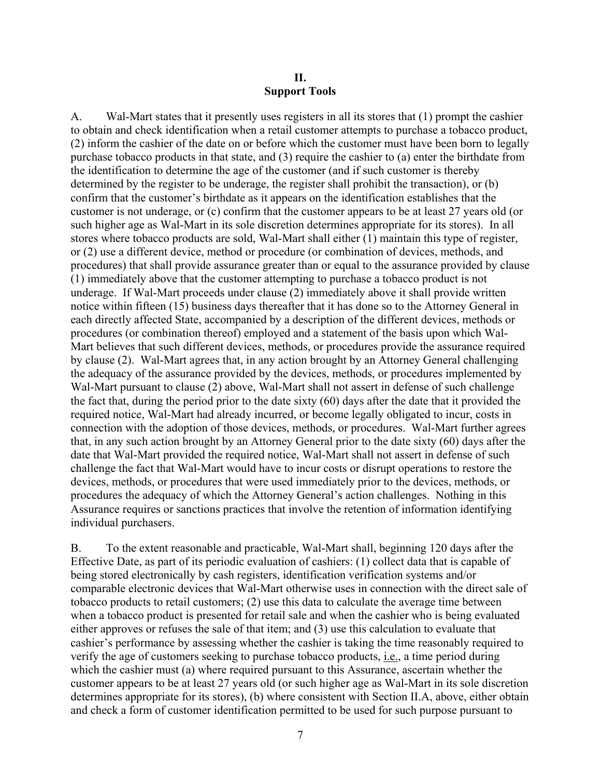## **II. Support Tools**

A. Wal-Mart states that it presently uses registers in all its stores that (1) prompt the cashier to obtain and check identification when a retail customer attempts to purchase a tobacco product, (2) inform the cashier of the date on or before which the customer must have been born to legally purchase tobacco products in that state, and (3) require the cashier to (a) enter the birthdate from the identification to determine the age of the customer (and if such customer is thereby determined by the register to be underage, the register shall prohibit the transaction), or (b) confirm that the customer's birthdate as it appears on the identification establishes that the customer is not underage, or (c) confirm that the customer appears to be at least 27 years old (or such higher age as Wal-Mart in its sole discretion determines appropriate for its stores). In all stores where tobacco products are sold, Wal-Mart shall either (1) maintain this type of register, or (2) use a different device, method or procedure (or combination of devices, methods, and procedures) that shall provide assurance greater than or equal to the assurance provided by clause (1) immediately above that the customer attempting to purchase a tobacco product is not underage. If Wal-Mart proceeds under clause (2) immediately above it shall provide written notice within fifteen (15) business days thereafter that it has done so to the Attorney General in each directly affected State, accompanied by a description of the different devices, methods or procedures (or combination thereof) employed and a statement of the basis upon which Wal-Mart believes that such different devices, methods, or procedures provide the assurance required by clause (2). Wal-Mart agrees that, in any action brought by an Attorney General challenging the adequacy of the assurance provided by the devices, methods, or procedures implemented by Wal-Mart pursuant to clause (2) above, Wal-Mart shall not assert in defense of such challenge the fact that, during the period prior to the date sixty (60) days after the date that it provided the required notice, Wal-Mart had already incurred, or become legally obligated to incur, costs in connection with the adoption of those devices, methods, or procedures. Wal-Mart further agrees that, in any such action brought by an Attorney General prior to the date sixty (60) days after the date that Wal-Mart provided the required notice, Wal-Mart shall not assert in defense of such challenge the fact that Wal-Mart would have to incur costs or disrupt operations to restore the devices, methods, or procedures that were used immediately prior to the devices, methods, or procedures the adequacy of which the Attorney General's action challenges. Nothing in this Assurance requires or sanctions practices that involve the retention of information identifying individual purchasers.

B. To the extent reasonable and practicable, Wal-Mart shall, beginning 120 days after the Effective Date, as part of its periodic evaluation of cashiers: (1) collect data that is capable of being stored electronically by cash registers, identification verification systems and/or comparable electronic devices that Wal-Mart otherwise uses in connection with the direct sale of tobacco products to retail customers; (2) use this data to calculate the average time between when a tobacco product is presented for retail sale and when the cashier who is being evaluated either approves or refuses the sale of that item; and (3) use this calculation to evaluate that cashier's performance by assessing whether the cashier is taking the time reasonably required to verify the age of customers seeking to purchase tobacco products, i.e., a time period during which the cashier must (a) where required pursuant to this Assurance, ascertain whether the customer appears to be at least 27 years old (or such higher age as Wal-Mart in its sole discretion determines appropriate for its stores), (b) where consistent with Section II.A, above, either obtain and check a form of customer identification permitted to be used for such purpose pursuant to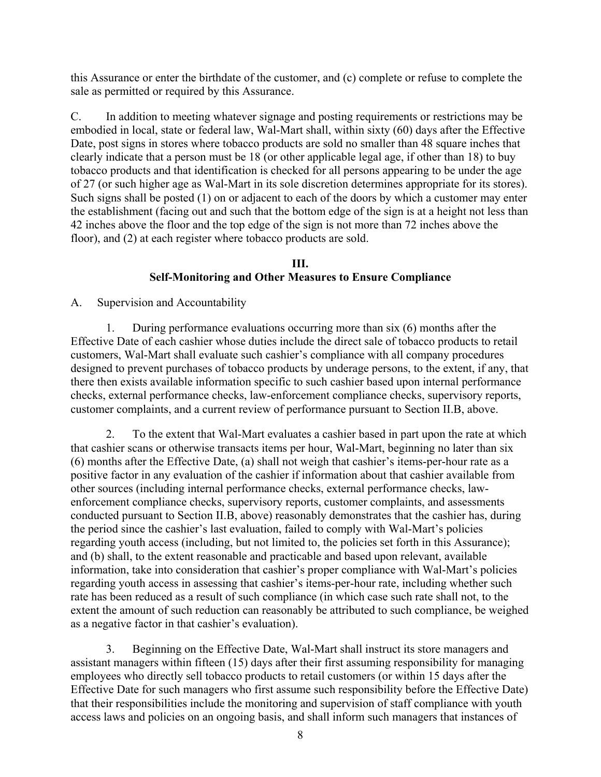this Assurance or enter the birthdate of the customer, and (c) complete or refuse to complete the sale as permitted or required by this Assurance.

C. In addition to meeting whatever signage and posting requirements or restrictions may be embodied in local, state or federal law, Wal-Mart shall, within sixty (60) days after the Effective Date, post signs in stores where tobacco products are sold no smaller than 48 square inches that clearly indicate that a person must be 18 (or other applicable legal age, if other than 18) to buy tobacco products and that identification is checked for all persons appearing to be under the age of 27 (or such higher age as Wal-Mart in its sole discretion determines appropriate for its stores). Such signs shall be posted (1) on or adjacent to each of the doors by which a customer may enter the establishment (facing out and such that the bottom edge of the sign is at a height not less than 42 inches above the floor and the top edge of the sign is not more than 72 inches above the floor), and (2) at each register where tobacco products are sold.

## **III. Self-Monitoring and Other Measures to Ensure Compliance**

A. Supervision and Accountability

1. During performance evaluations occurring more than six (6) months after the Effective Date of each cashier whose duties include the direct sale of tobacco products to retail customers, Wal-Mart shall evaluate such cashier's compliance with all company procedures designed to prevent purchases of tobacco products by underage persons, to the extent, if any, that there then exists available information specific to such cashier based upon internal performance checks, external performance checks, law-enforcement compliance checks, supervisory reports, customer complaints, and a current review of performance pursuant to Section II.B, above.

2. To the extent that Wal-Mart evaluates a cashier based in part upon the rate at which that cashier scans or otherwise transacts items per hour, Wal-Mart, beginning no later than six (6) months after the Effective Date, (a) shall not weigh that cashier's items-per-hour rate as a positive factor in any evaluation of the cashier if information about that cashier available from other sources (including internal performance checks, external performance checks, lawenforcement compliance checks, supervisory reports, customer complaints, and assessments conducted pursuant to Section II.B, above) reasonably demonstrates that the cashier has, during the period since the cashier's last evaluation, failed to comply with Wal-Mart's policies regarding youth access (including, but not limited to, the policies set forth in this Assurance); and (b) shall, to the extent reasonable and practicable and based upon relevant, available information, take into consideration that cashier's proper compliance with Wal-Mart's policies regarding youth access in assessing that cashier's items-per-hour rate, including whether such rate has been reduced as a result of such compliance (in which case such rate shall not, to the extent the amount of such reduction can reasonably be attributed to such compliance, be weighed as a negative factor in that cashier's evaluation).

3. Beginning on the Effective Date, Wal-Mart shall instruct its store managers and assistant managers within fifteen (15) days after their first assuming responsibility for managing employees who directly sell tobacco products to retail customers (or within 15 days after the Effective Date for such managers who first assume such responsibility before the Effective Date) that their responsibilities include the monitoring and supervision of staff compliance with youth access laws and policies on an ongoing basis, and shall inform such managers that instances of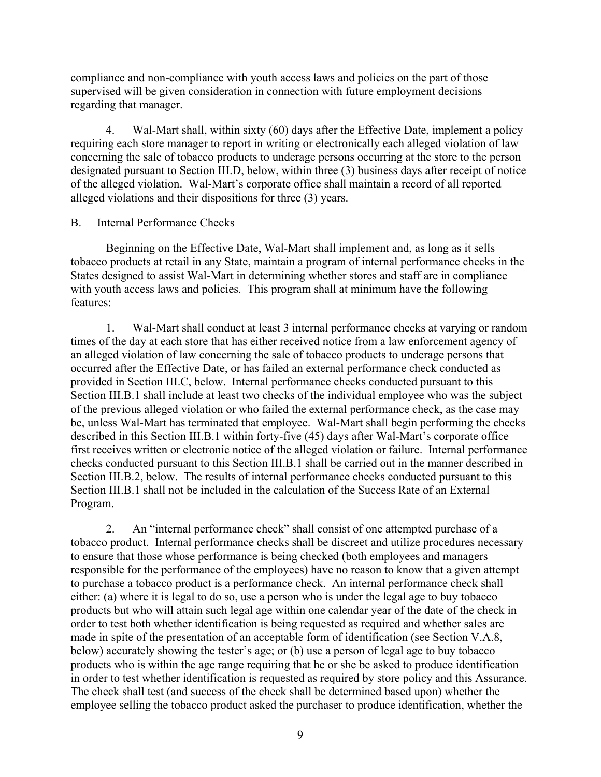compliance and non-compliance with youth access laws and policies on the part of those supervised will be given consideration in connection with future employment decisions regarding that manager.

4. Wal-Mart shall, within sixty (60) days after the Effective Date, implement a policy requiring each store manager to report in writing or electronically each alleged violation of law concerning the sale of tobacco products to underage persons occurring at the store to the person designated pursuant to Section III.D, below, within three (3) business days after receipt of notice of the alleged violation. Wal-Mart's corporate office shall maintain a record of all reported alleged violations and their dispositions for three (3) years.

## B. Internal Performance Checks

Beginning on the Effective Date, Wal-Mart shall implement and, as long as it sells tobacco products at retail in any State, maintain a program of internal performance checks in the States designed to assist Wal-Mart in determining whether stores and staff are in compliance with youth access laws and policies. This program shall at minimum have the following features:

1. Wal-Mart shall conduct at least 3 internal performance checks at varying or random times of the day at each store that has either received notice from a law enforcement agency of an alleged violation of law concerning the sale of tobacco products to underage persons that occurred after the Effective Date, or has failed an external performance check conducted as provided in Section III.C, below. Internal performance checks conducted pursuant to this Section III.B.1 shall include at least two checks of the individual employee who was the subject of the previous alleged violation or who failed the external performance check, as the case may be, unless Wal-Mart has terminated that employee. Wal-Mart shall begin performing the checks described in this Section III.B.1 within forty-five (45) days after Wal-Mart's corporate office first receives written or electronic notice of the alleged violation or failure. Internal performance checks conducted pursuant to this Section III.B.1 shall be carried out in the manner described in Section III.B.2, below. The results of internal performance checks conducted pursuant to this Section III.B.1 shall not be included in the calculation of the Success Rate of an External Program.

2. An "internal performance check" shall consist of one attempted purchase of a tobacco product. Internal performance checks shall be discreet and utilize procedures necessary to ensure that those whose performance is being checked (both employees and managers responsible for the performance of the employees) have no reason to know that a given attempt to purchase a tobacco product is a performance check. An internal performance check shall either: (a) where it is legal to do so, use a person who is under the legal age to buy tobacco products but who will attain such legal age within one calendar year of the date of the check in order to test both whether identification is being requested as required and whether sales are made in spite of the presentation of an acceptable form of identification (see Section V.A.8, below) accurately showing the tester's age; or (b) use a person of legal age to buy tobacco products who is within the age range requiring that he or she be asked to produce identification in order to test whether identification is requested as required by store policy and this Assurance. The check shall test (and success of the check shall be determined based upon) whether the employee selling the tobacco product asked the purchaser to produce identification, whether the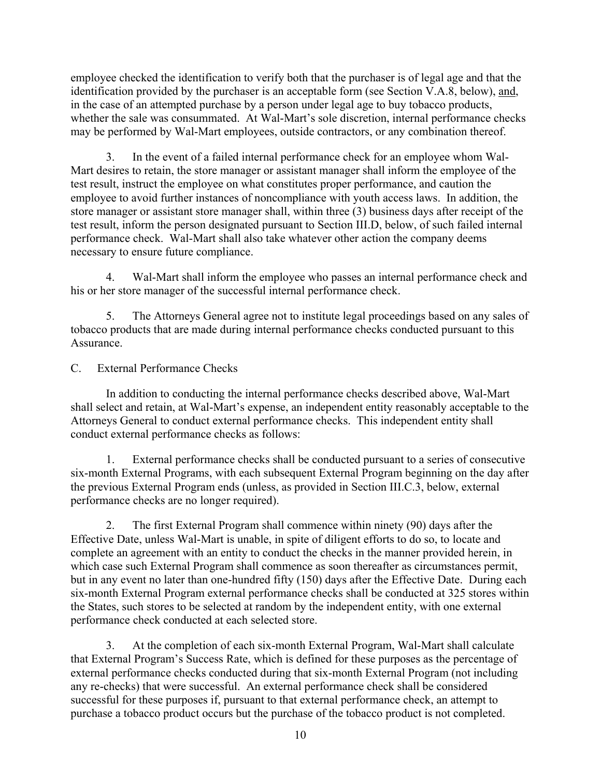employee checked the identification to verify both that the purchaser is of legal age and that the identification provided by the purchaser is an acceptable form (see Section V.A.8, below), and, in the case of an attempted purchase by a person under legal age to buy tobacco products, whether the sale was consummated. At Wal-Mart's sole discretion, internal performance checks may be performed by Wal-Mart employees, outside contractors, or any combination thereof.

3. In the event of a failed internal performance check for an employee whom Wal-Mart desires to retain, the store manager or assistant manager shall inform the employee of the test result, instruct the employee on what constitutes proper performance, and caution the employee to avoid further instances of noncompliance with youth access laws. In addition, the store manager or assistant store manager shall, within three (3) business days after receipt of the test result, inform the person designated pursuant to Section III.D, below, of such failed internal performance check. Wal-Mart shall also take whatever other action the company deems necessary to ensure future compliance.

4. Wal-Mart shall inform the employee who passes an internal performance check and his or her store manager of the successful internal performance check.

5. The Attorneys General agree not to institute legal proceedings based on any sales of tobacco products that are made during internal performance checks conducted pursuant to this Assurance.

C. External Performance Checks

In addition to conducting the internal performance checks described above, Wal-Mart shall select and retain, at Wal-Mart's expense, an independent entity reasonably acceptable to the Attorneys General to conduct external performance checks. This independent entity shall conduct external performance checks as follows:

1. External performance checks shall be conducted pursuant to a series of consecutive six-month External Programs, with each subsequent External Program beginning on the day after the previous External Program ends (unless, as provided in Section III.C.3, below, external performance checks are no longer required).

2. The first External Program shall commence within ninety (90) days after the Effective Date, unless Wal-Mart is unable, in spite of diligent efforts to do so, to locate and complete an agreement with an entity to conduct the checks in the manner provided herein, in which case such External Program shall commence as soon thereafter as circumstances permit, but in any event no later than one-hundred fifty (150) days after the Effective Date. During each six-month External Program external performance checks shall be conducted at 325 stores within the States, such stores to be selected at random by the independent entity, with one external performance check conducted at each selected store.

3. At the completion of each six-month External Program, Wal-Mart shall calculate that External Program's Success Rate, which is defined for these purposes as the percentage of external performance checks conducted during that six-month External Program (not including any re-checks) that were successful. An external performance check shall be considered successful for these purposes if, pursuant to that external performance check, an attempt to purchase a tobacco product occurs but the purchase of the tobacco product is not completed.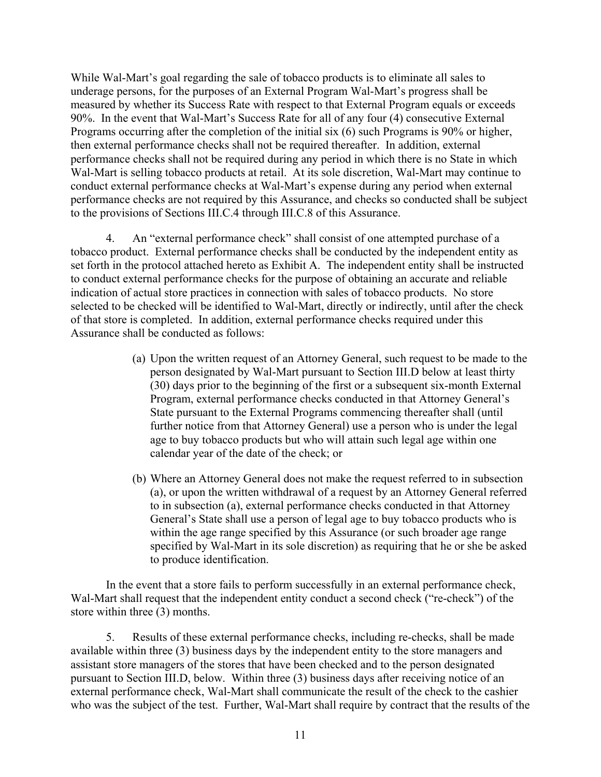While Wal-Mart's goal regarding the sale of tobacco products is to eliminate all sales to underage persons, for the purposes of an External Program Wal-Mart's progress shall be measured by whether its Success Rate with respect to that External Program equals or exceeds 90%. In the event that Wal-Mart's Success Rate for all of any four (4) consecutive External Programs occurring after the completion of the initial six (6) such Programs is 90% or higher, then external performance checks shall not be required thereafter. In addition, external performance checks shall not be required during any period in which there is no State in which Wal-Mart is selling tobacco products at retail. At its sole discretion, Wal-Mart may continue to conduct external performance checks at Wal-Mart's expense during any period when external performance checks are not required by this Assurance, and checks so conducted shall be subject to the provisions of Sections III.C.4 through III.C.8 of this Assurance.

4. An "external performance check" shall consist of one attempted purchase of a tobacco product. External performance checks shall be conducted by the independent entity as set forth in the protocol attached hereto as Exhibit A. The independent entity shall be instructed to conduct external performance checks for the purpose of obtaining an accurate and reliable indication of actual store practices in connection with sales of tobacco products. No store selected to be checked will be identified to Wal-Mart, directly or indirectly, until after the check of that store is completed. In addition, external performance checks required under this Assurance shall be conducted as follows:

- (a) Upon the written request of an Attorney General, such request to be made to the person designated by Wal-Mart pursuant to Section III.D below at least thirty (30) days prior to the beginning of the first or a subsequent six-month External Program, external performance checks conducted in that Attorney General's State pursuant to the External Programs commencing thereafter shall (until further notice from that Attorney General) use a person who is under the legal age to buy tobacco products but who will attain such legal age within one calendar year of the date of the check; or
- (b) Where an Attorney General does not make the request referred to in subsection (a), or upon the written withdrawal of a request by an Attorney General referred to in subsection (a), external performance checks conducted in that Attorney General's State shall use a person of legal age to buy tobacco products who is within the age range specified by this Assurance (or such broader age range specified by Wal-Mart in its sole discretion) as requiring that he or she be asked to produce identification.

In the event that a store fails to perform successfully in an external performance check, Wal-Mart shall request that the independent entity conduct a second check ("re-check") of the store within three (3) months.

5. Results of these external performance checks, including re-checks, shall be made available within three (3) business days by the independent entity to the store managers and assistant store managers of the stores that have been checked and to the person designated pursuant to Section III.D, below. Within three (3) business days after receiving notice of an external performance check, Wal-Mart shall communicate the result of the check to the cashier who was the subject of the test. Further, Wal-Mart shall require by contract that the results of the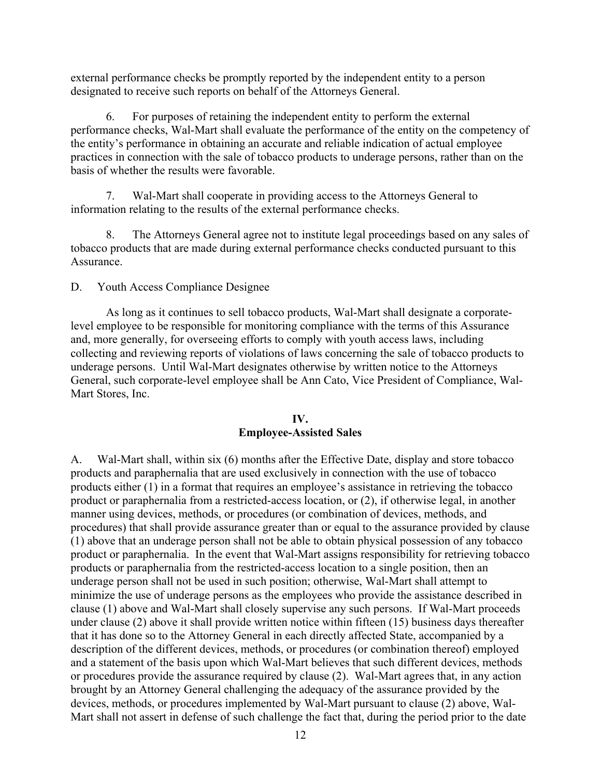external performance checks be promptly reported by the independent entity to a person designated to receive such reports on behalf of the Attorneys General.

6. For purposes of retaining the independent entity to perform the external performance checks, Wal-Mart shall evaluate the performance of the entity on the competency of the entity's performance in obtaining an accurate and reliable indication of actual employee practices in connection with the sale of tobacco products to underage persons, rather than on the basis of whether the results were favorable.

7. Wal-Mart shall cooperate in providing access to the Attorneys General to information relating to the results of the external performance checks.

8. The Attorneys General agree not to institute legal proceedings based on any sales of tobacco products that are made during external performance checks conducted pursuant to this **Assurance** 

D. Youth Access Compliance Designee

As long as it continues to sell tobacco products, Wal-Mart shall designate a corporatelevel employee to be responsible for monitoring compliance with the terms of this Assurance and, more generally, for overseeing efforts to comply with youth access laws, including collecting and reviewing reports of violations of laws concerning the sale of tobacco products to underage persons. Until Wal-Mart designates otherwise by written notice to the Attorneys General, such corporate-level employee shall be Ann Cato, Vice President of Compliance, Wal-Mart Stores, Inc.

## **IV. Employee-Assisted Sales**

A. Wal-Mart shall, within six (6) months after the Effective Date, display and store tobacco products and paraphernalia that are used exclusively in connection with the use of tobacco products either (1) in a format that requires an employee's assistance in retrieving the tobacco product or paraphernalia from a restricted-access location, or (2), if otherwise legal, in another manner using devices, methods, or procedures (or combination of devices, methods, and procedures) that shall provide assurance greater than or equal to the assurance provided by clause (1) above that an underage person shall not be able to obtain physical possession of any tobacco product or paraphernalia. In the event that Wal-Mart assigns responsibility for retrieving tobacco products or paraphernalia from the restricted-access location to a single position, then an underage person shall not be used in such position; otherwise, Wal-Mart shall attempt to minimize the use of underage persons as the employees who provide the assistance described in clause (1) above and Wal-Mart shall closely supervise any such persons. If Wal-Mart proceeds under clause (2) above it shall provide written notice within fifteen (15) business days thereafter that it has done so to the Attorney General in each directly affected State, accompanied by a description of the different devices, methods, or procedures (or combination thereof) employed and a statement of the basis upon which Wal-Mart believes that such different devices, methods or procedures provide the assurance required by clause (2). Wal-Mart agrees that, in any action brought by an Attorney General challenging the adequacy of the assurance provided by the devices, methods, or procedures implemented by Wal-Mart pursuant to clause (2) above, Wal-Mart shall not assert in defense of such challenge the fact that, during the period prior to the date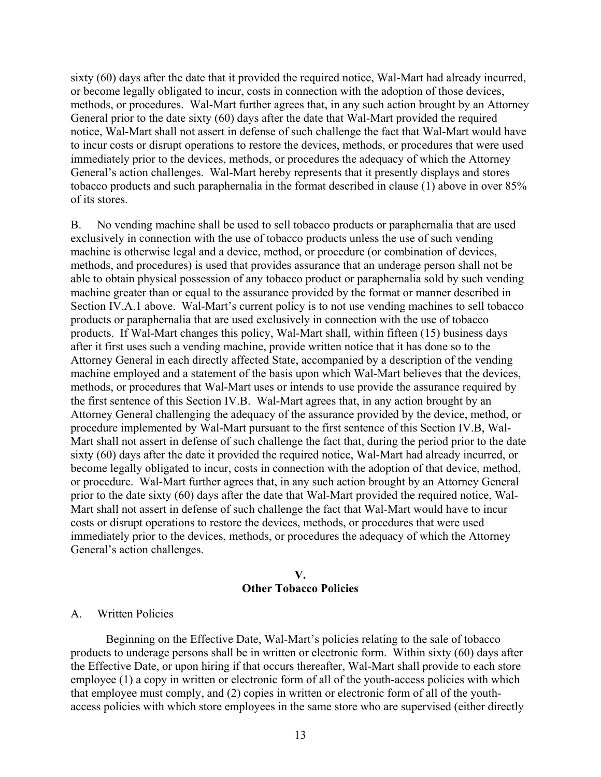sixty (60) days after the date that it provided the required notice, Wal-Mart had already incurred, or become legally obligated to incur, costs in connection with the adoption of those devices, methods, or procedures. Wal-Mart further agrees that, in any such action brought by an Attorney General prior to the date sixty (60) days after the date that Wal-Mart provided the required notice, Wal-Mart shall not assert in defense of such challenge the fact that Wal-Mart would have to incur costs or disrupt operations to restore the devices, methods, or procedures that were used immediately prior to the devices, methods, or procedures the adequacy of which the Attorney General's action challenges. Wal-Mart hereby represents that it presently displays and stores tobacco products and such paraphernalia in the format described in clause (1) above in over 85% of its stores.

B. No vending machine shall be used to sell tobacco products or paraphernalia that are used exclusively in connection with the use of tobacco products unless the use of such vending machine is otherwise legal and a device, method, or procedure (or combination of devices, methods, and procedures) is used that provides assurance that an underage person shall not be able to obtain physical possession of any tobacco product or paraphernalia sold by such vending machine greater than or equal to the assurance provided by the format or manner described in Section IV.A.1 above. Wal-Mart's current policy is to not use vending machines to sell tobacco products or paraphernalia that are used exclusively in connection with the use of tobacco products. If Wal-Mart changes this policy, Wal-Mart shall, within fifteen (15) business days after it first uses such a vending machine, provide written notice that it has done so to the Attorney General in each directly affected State, accompanied by a description of the vending machine employed and a statement of the basis upon which Wal-Mart believes that the devices, methods, or procedures that Wal-Mart uses or intends to use provide the assurance required by the first sentence of this Section IV.B. Wal-Mart agrees that, in any action brought by an Attorney General challenging the adequacy of the assurance provided by the device, method, or procedure implemented by Wal-Mart pursuant to the first sentence of this Section IV.B, Wal-Mart shall not assert in defense of such challenge the fact that, during the period prior to the date sixty (60) days after the date it provided the required notice, Wal-Mart had already incurred, or become legally obligated to incur, costs in connection with the adoption of that device, method, or procedure. Wal-Mart further agrees that, in any such action brought by an Attorney General prior to the date sixty (60) days after the date that Wal-Mart provided the required notice, Wal-Mart shall not assert in defense of such challenge the fact that Wal-Mart would have to incur costs or disrupt operations to restore the devices, methods, or procedures that were used immediately prior to the devices, methods, or procedures the adequacy of which the Attorney General's action challenges.

#### **V. Other Tobacco Policies**

#### A. Written Policies

Beginning on the Effective Date, Wal-Mart's policies relating to the sale of tobacco products to underage persons shall be in written or electronic form. Within sixty (60) days after the Effective Date, or upon hiring if that occurs thereafter, Wal-Mart shall provide to each store employee (1) a copy in written or electronic form of all of the youth-access policies with which that employee must comply, and (2) copies in written or electronic form of all of the youthaccess policies with which store employees in the same store who are supervised (either directly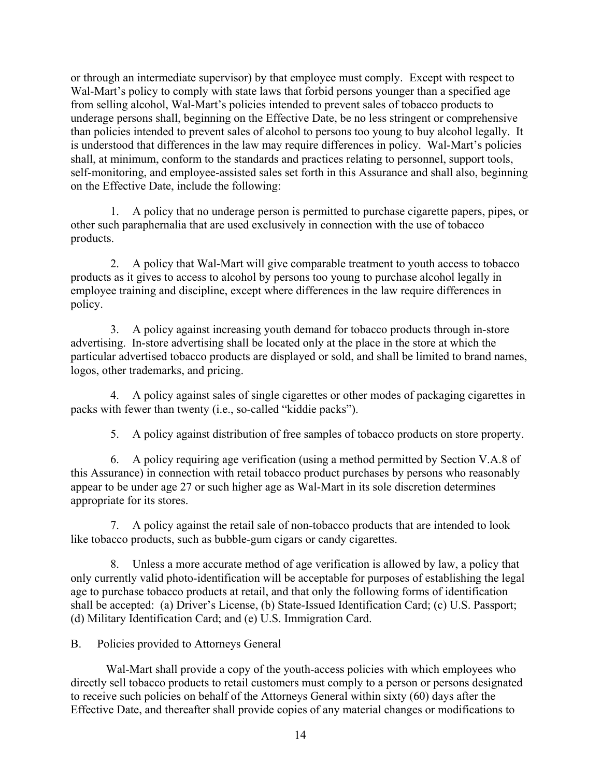or through an intermediate supervisor) by that employee must comply. Except with respect to Wal-Mart's policy to comply with state laws that forbid persons younger than a specified age from selling alcohol, Wal-Mart's policies intended to prevent sales of tobacco products to underage persons shall, beginning on the Effective Date, be no less stringent or comprehensive than policies intended to prevent sales of alcohol to persons too young to buy alcohol legally. It is understood that differences in the law may require differences in policy. Wal-Mart's policies shall, at minimum, conform to the standards and practices relating to personnel, support tools, self-monitoring, and employee-assisted sales set forth in this Assurance and shall also, beginning on the Effective Date, include the following:

1. A policy that no underage person is permitted to purchase cigarette papers, pipes, or other such paraphernalia that are used exclusively in connection with the use of tobacco products.

2. A policy that Wal-Mart will give comparable treatment to youth access to tobacco products as it gives to access to alcohol by persons too young to purchase alcohol legally in employee training and discipline, except where differences in the law require differences in policy.

3. A policy against increasing youth demand for tobacco products through in-store advertising. In-store advertising shall be located only at the place in the store at which the particular advertised tobacco products are displayed or sold, and shall be limited to brand names, logos, other trademarks, and pricing.

4. A policy against sales of single cigarettes or other modes of packaging cigarettes in packs with fewer than twenty (i.e., so-called "kiddie packs").

5. A policy against distribution of free samples of tobacco products on store property.

6. A policy requiring age verification (using a method permitted by Section V.A.8 of this Assurance) in connection with retail tobacco product purchases by persons who reasonably appear to be under age 27 or such higher age as Wal-Mart in its sole discretion determines appropriate for its stores.

7. A policy against the retail sale of non-tobacco products that are intended to look like tobacco products, such as bubble-gum cigars or candy cigarettes.

8. Unless a more accurate method of age verification is allowed by law, a policy that only currently valid photo-identification will be acceptable for purposes of establishing the legal age to purchase tobacco products at retail, and that only the following forms of identification shall be accepted: (a) Driver's License, (b) State-Issued Identification Card; (c) U.S. Passport; (d) Military Identification Card; and (e) U.S. Immigration Card.

B. Policies provided to Attorneys General

Wal-Mart shall provide a copy of the youth-access policies with which employees who directly sell tobacco products to retail customers must comply to a person or persons designated to receive such policies on behalf of the Attorneys General within sixty (60) days after the Effective Date, and thereafter shall provide copies of any material changes or modifications to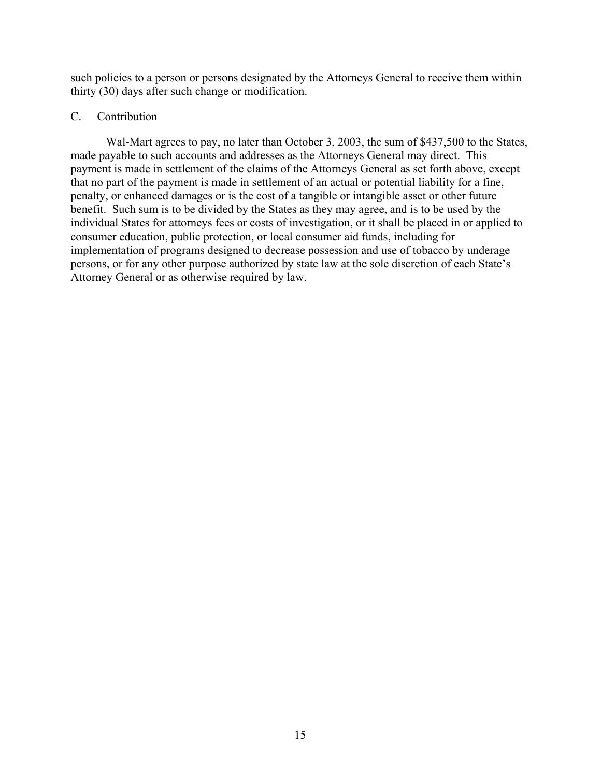such policies to a person or persons designated by the Attorneys General to receive them within thirty (30) days after such change or modification.

## C. Contribution

Wal-Mart agrees to pay, no later than October 3, 2003, the sum of \$437,500 to the States, made payable to such accounts and addresses as the Attorneys General may direct. This payment is made in settlement of the claims of the Attorneys General as set forth above, except that no part of the payment is made in settlement of an actual or potential liability for a fine, penalty, or enhanced damages or is the cost of a tangible or intangible asset or other future benefit. Such sum is to be divided by the States as they may agree, and is to be used by the individual States for attorneys fees or costs of investigation, or it shall be placed in or applied to consumer education, public protection, or local consumer aid funds, including for implementation of programs designed to decrease possession and use of tobacco by underage persons, or for any other purpose authorized by state law at the sole discretion of each State's Attorney General or as otherwise required by law.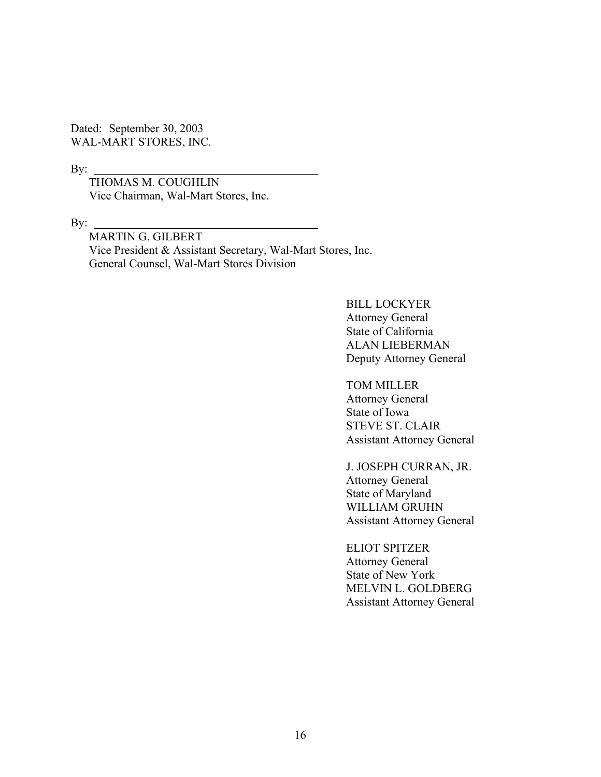Dated: September 30, 2003 WAL-MART STORES, INC.

By:  $_{-}$ 

 THOMAS M. COUGHLIN Vice Chairman, Wal-Mart Stores, Inc.

By:  $\overline{\phantom{0}}$ 

MARTIN G. GILBERT Vice President & Assistant Secretary, Wal-Mart Stores, Inc. General Counsel, Wal-Mart Stores Division

> BILL LOCKYER Attorney General State of California ALAN LIEBERMAN Deputy Attorney General

TOM MILLER

Attorney General State of Iowa STEVE ST. CLAIR Assistant Attorney General

J. JOSEPH CURRAN, JR. Attorney General State of Maryland WILLIAM GRUHN Assistant Attorney General

ELIOT SPITZER Attorney General State of New York MELVIN L. GOLDBERG Assistant Attorney General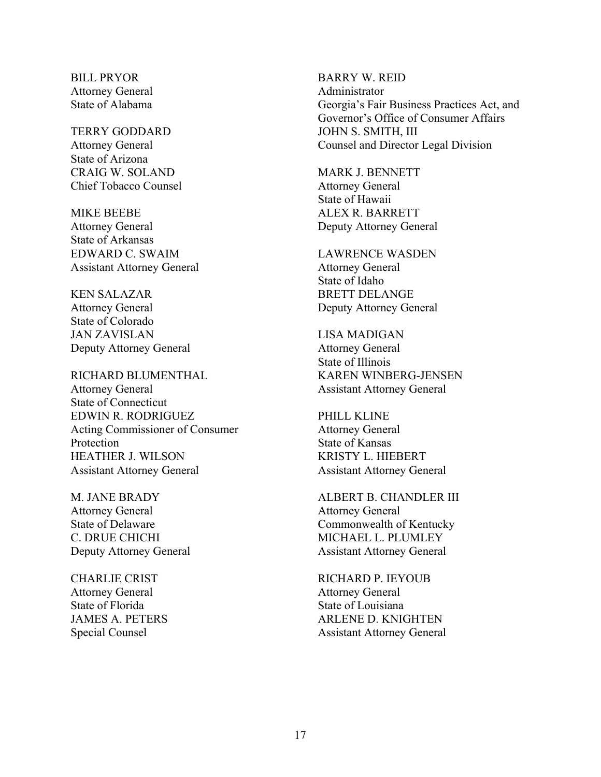BILL PRYOR BARRY W. REID Attorney General Administrator

State of Arizona CRAIG W. SOLAND MARK J. BENNETT Chief Tobacco Counsel Attorney General

MIKE BEEBE ALEX R. BARRETT Attorney General Deputy Attorney General State of Arkansas EDWARD C. SWAIM LAWRENCE WASDEN Assistant Attorney General Attorney General

State of Colorado JAN ZAVISLAN LISA MADIGAN Deputy Attorney General Attorney General

Attorney General Assistant Attorney General State of Connecticut EDWIN R. RODRIGUEZ PHILL KLINE Acting Commissioner of Consumer Attorney General Protection State of Kansas HEATHER J. WILSON KRISTY L. HIEBERT Assistant Attorney General Assistant Attorney General

Attorney General Attorney General

Attorney General Attorney General State of Florida State of Louisiana

State of Alabama Georgia's Fair Business Practices Act, and Governor's Office of Consumer Affairs TERRY GODDARD JOHN S. SMITH, III Attorney General Counsel and Director Legal Division

State of Hawaii

State of Idaho KEN SALAZAR BRETT DELANGE Attorney General Deputy Attorney General

State of Illinois RICHARD BLUMENTHAL KAREN WINBERG-JENSEN

M. JANE BRADY ALBERT B. CHANDLER III State of Delaware Commonwealth of Kentucky C. DRUE CHICHI MICHAEL L. PLUMLEY Deputy Attorney General Assistant Attorney General

CHARLIE CRIST RICHARD P. IEYOUB JAMES A. PETERS ARLENE D. KNIGHTEN Special Counsel Assistant Attorney General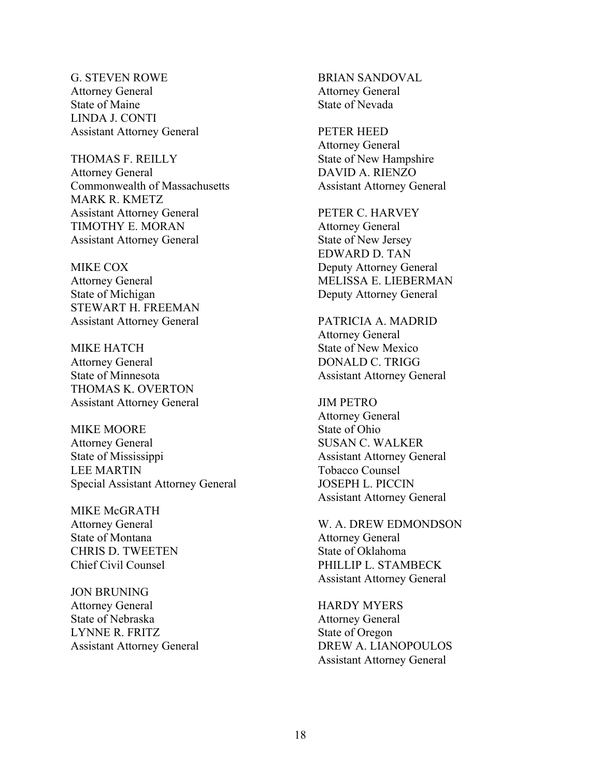G. STEVEN ROWE BRIAN SANDOVAL Attorney General Attorney General State of Maine State of Nevada LINDA J. CONTI Assistant Attorney General PETER HEED

THOMAS F. REILLY State of New Hampshire Attorney General DAVID A. RIENZO Commonwealth of Massachusetts Assistant Attorney General MARK R. KMETZ Assistant Attorney General PETER C. HARVEY TIMOTHY E. MORAN Attorney General Assistant Attorney General State of New Jersey

State of Michigan Deputy Attorney General STEWART H. FREEMAN Assistant Attorney General PATRICIA A. MADRID

MIKE HATCH State of New Mexico Attorney General DONALD C. TRIGG State of Minnesota Assistant Attorney General THOMAS K. OVERTON Assistant Attorney General JIM PETRO

MIKE MOORE State of Ohio Attorney General SUSAN C. WALKER State of Mississippi Assistant Attorney General LEE MARTIN Tobacco Counsel Special Assistant Attorney General JOSEPH L. PICCIN

MIKE McGRATH State of Montana Attorney General CHRIS D. TWEETEN State of Oklahoma

JON BRUNING Attorney General **HARDY MYERS** State of Nebraska Attorney General LYNNE R. FRITZ State of Oregon

Attorney General

EDWARD D. TAN MIKE COX Deputy Attorney General Attorney General MELISSA E. LIEBERMAN

Attorney General

Attorney General Assistant Attorney General

Attorney General W. A. DREW EDMONDSON Chief Civil Counsel PHILLIP L. STAMBECK Assistant Attorney General

Assistant Attorney General DREW A. LIANOPOULOS Assistant Attorney General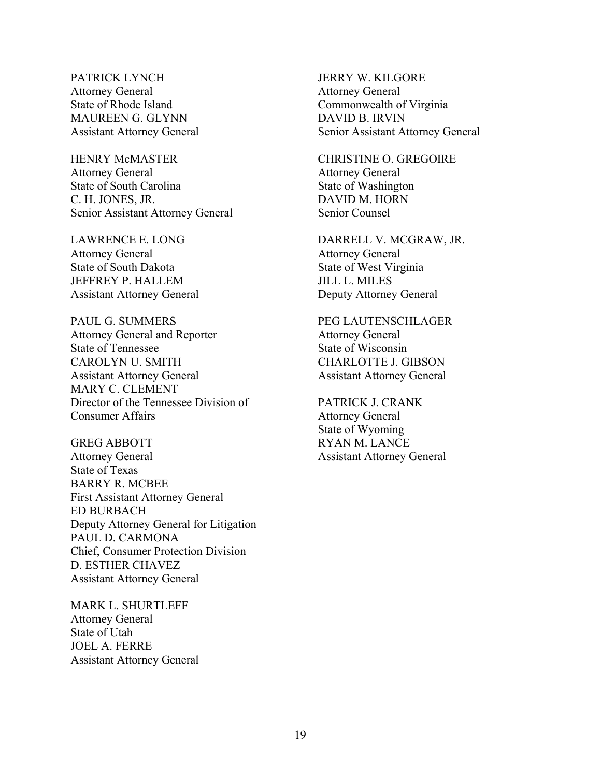PATRICK LYNCH JERRY W. KILGORE Attorney General Attorney General MAUREEN G. GLYNN DAVID B. IRVIN

HENRY McMASTER CHRISTINE O. GREGOIRE Attorney General Attorney General State of South Carolina State of Washington C. H. JONES, JR. DAVID M. HORN Senior Assistant Attorney General Senior Counsel

Attorney General Attorney General<br>
State of South Dakota State of West Virs JEFFREY P. HALLEM JILL L. MILES Assistant Attorney General Deputy Attorney General

PAUL G. SUMMERS PEG LAUTENSCHLAGER Attorney General and Reporter Attorney General State of Tennessee State of Wisconsin CAROLYN U. SMITH CHARLOTTE J. GIBSON Assistant Attorney General Assistant Attorney General MARY C. CLEMENT Director of the Tennessee Division of PATRICK J. CRANK **Consumer Affairs** Attorney General

GREG ABBOTT RYAN M. LANCE Attorney General Assistant Attorney General State of Texas BARRY R. MCBEE First Assistant Attorney General ED BURBACH Deputy Attorney General for Litigation PAUL D. CARMONA Chief, Consumer Protection Division D. ESTHER CHAVEZ Assistant Attorney General

MARK L. SHURTLEFF Attorney General State of Utah JOEL A. FERRE Assistant Attorney General

State of Rhode Island Commonwealth of Virginia Assistant Attorney General Senior Assistant Attorney General

LAWRENCE E. LONG DARRELL V. MCGRAW, JR. State of West Virginia

State of Wyoming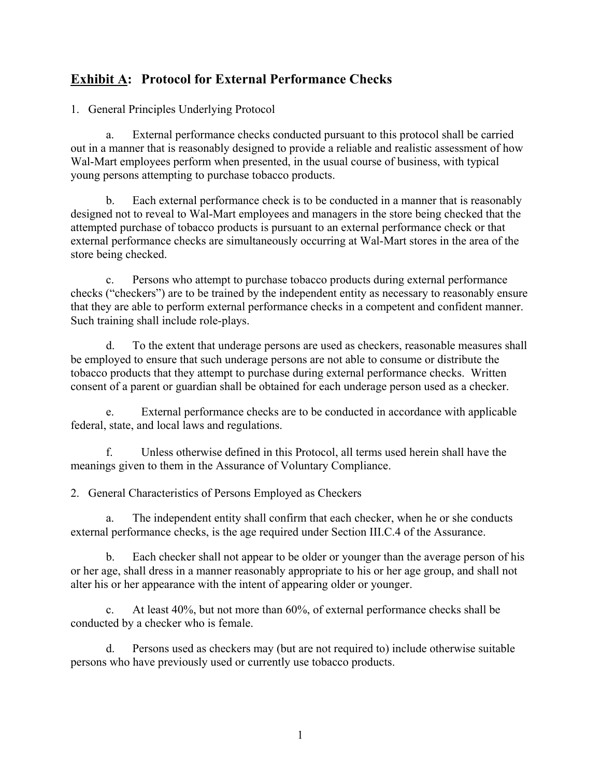# **Exhibit A: Protocol for External Performance Checks**

1. General Principles Underlying Protocol

a. External performance checks conducted pursuant to this protocol shall be carried out in a manner that is reasonably designed to provide a reliable and realistic assessment of how Wal-Mart employees perform when presented, in the usual course of business, with typical young persons attempting to purchase tobacco products.

b. Each external performance check is to be conducted in a manner that is reasonably designed not to reveal to Wal-Mart employees and managers in the store being checked that the attempted purchase of tobacco products is pursuant to an external performance check or that external performance checks are simultaneously occurring at Wal-Mart stores in the area of the store being checked.

c. Persons who attempt to purchase tobacco products during external performance checks ("checkers") are to be trained by the independent entity as necessary to reasonably ensure that they are able to perform external performance checks in a competent and confident manner. Such training shall include role-plays.

d. To the extent that underage persons are used as checkers, reasonable measures shall be employed to ensure that such underage persons are not able to consume or distribute the tobacco products that they attempt to purchase during external performance checks. Written consent of a parent or guardian shall be obtained for each underage person used as a checker.

e. External performance checks are to be conducted in accordance with applicable federal, state, and local laws and regulations.

f. Unless otherwise defined in this Protocol, all terms used herein shall have the meanings given to them in the Assurance of Voluntary Compliance.

2. General Characteristics of Persons Employed as Checkers

a. The independent entity shall confirm that each checker, when he or she conducts external performance checks, is the age required under Section III.C.4 of the Assurance.

b. Each checker shall not appear to be older or younger than the average person of his or her age, shall dress in a manner reasonably appropriate to his or her age group, and shall not alter his or her appearance with the intent of appearing older or younger.

c. At least 40%, but not more than 60%, of external performance checks shall be conducted by a checker who is female.

d. Persons used as checkers may (but are not required to) include otherwise suitable persons who have previously used or currently use tobacco products.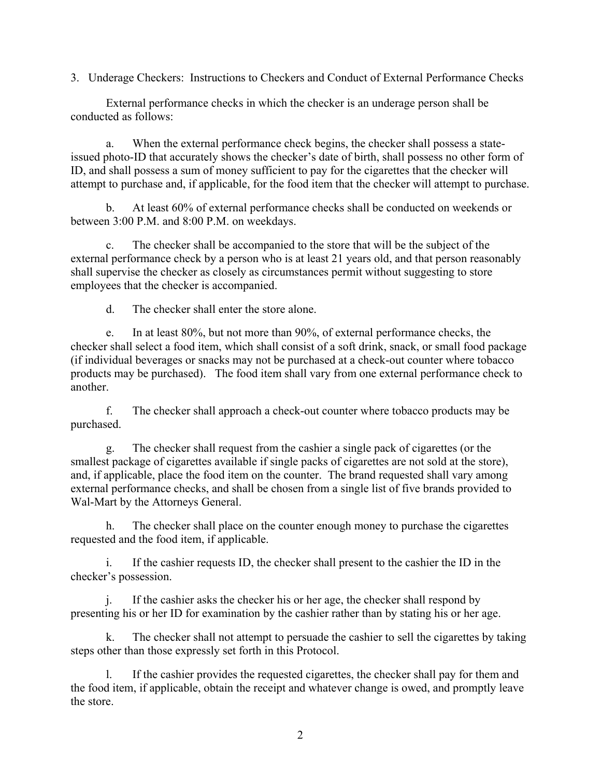3. Underage Checkers: Instructions to Checkers and Conduct of External Performance Checks

External performance checks in which the checker is an underage person shall be conducted as follows:

a. When the external performance check begins, the checker shall possess a stateissued photo-ID that accurately shows the checker's date of birth, shall possess no other form of ID, and shall possess a sum of money sufficient to pay for the cigarettes that the checker will attempt to purchase and, if applicable, for the food item that the checker will attempt to purchase.

b. At least 60% of external performance checks shall be conducted on weekends or between 3:00 P.M. and 8:00 P.M. on weekdays.

c. The checker shall be accompanied to the store that will be the subject of the external performance check by a person who is at least 21 years old, and that person reasonably shall supervise the checker as closely as circumstances permit without suggesting to store employees that the checker is accompanied.

d. The checker shall enter the store alone.

e. In at least 80%, but not more than 90%, of external performance checks, the checker shall select a food item, which shall consist of a soft drink, snack, or small food package (if individual beverages or snacks may not be purchased at a check-out counter where tobacco products may be purchased). The food item shall vary from one external performance check to another.

f. The checker shall approach a check-out counter where tobacco products may be purchased.

g. The checker shall request from the cashier a single pack of cigarettes (or the smallest package of cigarettes available if single packs of cigarettes are not sold at the store), and, if applicable, place the food item on the counter. The brand requested shall vary among external performance checks, and shall be chosen from a single list of five brands provided to Wal-Mart by the Attorneys General.

h. The checker shall place on the counter enough money to purchase the cigarettes requested and the food item, if applicable.

i. If the cashier requests ID, the checker shall present to the cashier the ID in the checker's possession.

j. If the cashier asks the checker his or her age, the checker shall respond by presenting his or her ID for examination by the cashier rather than by stating his or her age.

k. The checker shall not attempt to persuade the cashier to sell the cigarettes by taking steps other than those expressly set forth in this Protocol.

l. If the cashier provides the requested cigarettes, the checker shall pay for them and the food item, if applicable, obtain the receipt and whatever change is owed, and promptly leave the store.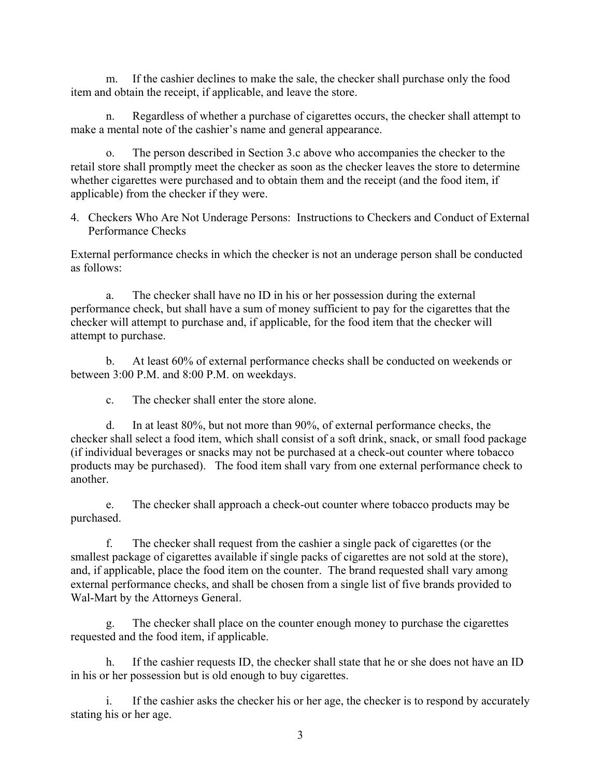m. If the cashier declines to make the sale, the checker shall purchase only the food item and obtain the receipt, if applicable, and leave the store.

n. Regardless of whether a purchase of cigarettes occurs, the checker shall attempt to make a mental note of the cashier's name and general appearance.

o. The person described in Section 3.c above who accompanies the checker to the retail store shall promptly meet the checker as soon as the checker leaves the store to determine whether cigarettes were purchased and to obtain them and the receipt (and the food item, if applicable) from the checker if they were.

4. Checkers Who Are Not Underage Persons: Instructions to Checkers and Conduct of External Performance Checks

External performance checks in which the checker is not an underage person shall be conducted as follows:

a. The checker shall have no ID in his or her possession during the external performance check, but shall have a sum of money sufficient to pay for the cigarettes that the checker will attempt to purchase and, if applicable, for the food item that the checker will attempt to purchase.

b. At least 60% of external performance checks shall be conducted on weekends or between 3:00 P.M. and 8:00 P.M. on weekdays.

c. The checker shall enter the store alone.

d. In at least 80%, but not more than 90%, of external performance checks, the checker shall select a food item, which shall consist of a soft drink, snack, or small food package (if individual beverages or snacks may not be purchased at a check-out counter where tobacco products may be purchased). The food item shall vary from one external performance check to another.

e. The checker shall approach a check-out counter where tobacco products may be purchased.

f. The checker shall request from the cashier a single pack of cigarettes (or the smallest package of cigarettes available if single packs of cigarettes are not sold at the store), and, if applicable, place the food item on the counter. The brand requested shall vary among external performance checks, and shall be chosen from a single list of five brands provided to Wal-Mart by the Attorneys General.

g. The checker shall place on the counter enough money to purchase the cigarettes requested and the food item, if applicable.

h. If the cashier requests ID, the checker shall state that he or she does not have an ID in his or her possession but is old enough to buy cigarettes.

i. If the cashier asks the checker his or her age, the checker is to respond by accurately stating his or her age.